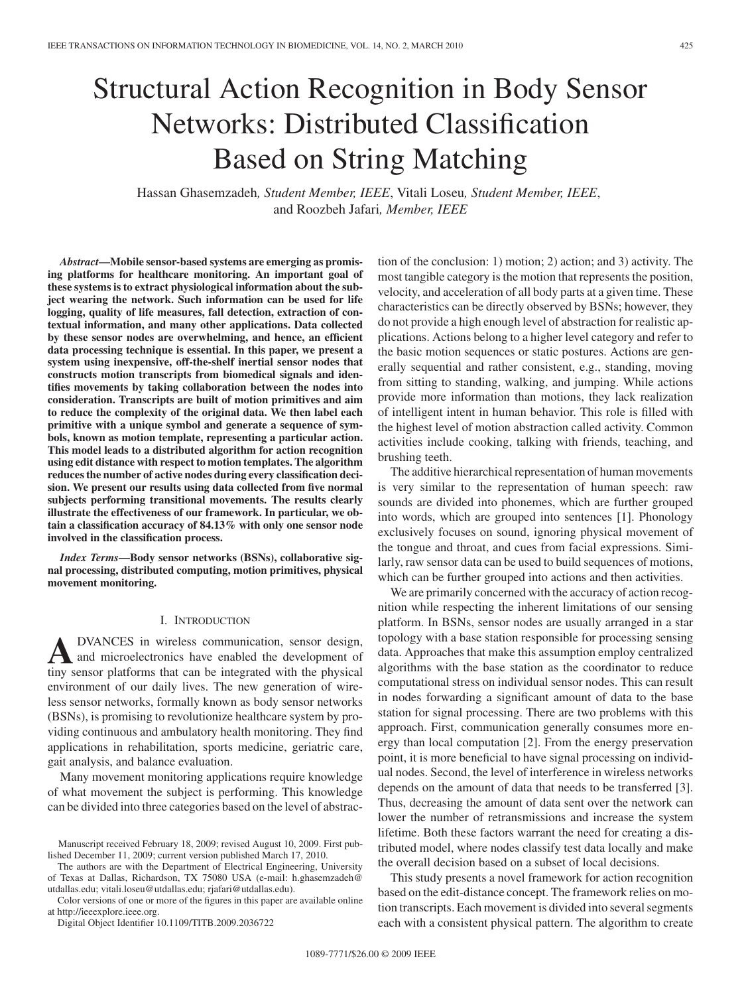# Structural Action Recognition in Body Sensor Networks: Distributed Classification Based on String Matching

Hassan Ghasemzadeh*, Student Member, IEEE*, Vitali Loseu*, Student Member, IEEE*, and Roozbeh Jafari*, Member, IEEE*

*Abstract***—Mobile sensor-based systems are emerging as promising platforms for healthcare monitoring. An important goal of these systems is to extract physiological information about the subject wearing the network. Such information can be used for life logging, quality of life measures, fall detection, extraction of contextual information, and many other applications. Data collected by these sensor nodes are overwhelming, and hence, an efficient data processing technique is essential. In this paper, we present a system using inexpensive, off-the-shelf inertial sensor nodes that constructs motion transcripts from biomedical signals and identifies movements by taking collaboration between the nodes into consideration. Transcripts are built of motion primitives and aim to reduce the complexity of the original data. We then label each primitive with a unique symbol and generate a sequence of symbols, known as motion template, representing a particular action. This model leads to a distributed algorithm for action recognition using edit distance with respect to motion templates. The algorithm reduces the number of active nodes during every classification decision. We present our results using data collected from five normal subjects performing transitional movements. The results clearly illustrate the effectiveness of our framework. In particular, we obtain a classification accuracy of 84.13% with only one sensor node involved in the classification process.**

*Index Terms***—Body sensor networks (BSNs), collaborative signal processing, distributed computing, motion primitives, physical movement monitoring.**

## I. INTRODUCTION

**A** DVANCES in wireless communication, sensor design, and microelectronics have enabled the development of time sensor platforms that can be integrated with the physical tiny sensor platforms that can be integrated with the physical environment of our daily lives. The new generation of wireless sensor networks, formally known as body sensor networks (BSNs), is promising to revolutionize healthcare system by providing continuous and ambulatory health monitoring. They find applications in rehabilitation, sports medicine, geriatric care, gait analysis, and balance evaluation.

Many movement monitoring applications require knowledge of what movement the subject is performing. This knowledge can be divided into three categories based on the level of abstrac-

The authors are with the Department of Electrical Engineering, University of Texas at Dallas, Richardson, TX 75080 USA (e-mail: h.ghasemzadeh@ utdallas.edu; vitali.loseu@utdallas.edu; rjafari@utdallas.edu).

Color versions of one or more of the figures in this paper are available online at http://ieeexplore.ieee.org.

Digital Object Identifier 10.1109/TITB.2009.2036722

tion of the conclusion: 1) motion; 2) action; and 3) activity. The most tangible category is the motion that represents the position, velocity, and acceleration of all body parts at a given time. These characteristics can be directly observed by BSNs; however, they do not provide a high enough level of abstraction for realistic applications. Actions belong to a higher level category and refer to the basic motion sequences or static postures. Actions are generally sequential and rather consistent, e.g., standing, moving from sitting to standing, walking, and jumping. While actions provide more information than motions, they lack realization of intelligent intent in human behavior. This role is filled with the highest level of motion abstraction called activity. Common activities include cooking, talking with friends, teaching, and brushing teeth.

The additive hierarchical representation of human movements is very similar to the representation of human speech: raw sounds are divided into phonemes, which are further grouped into words, which are grouped into sentences [1]. Phonology exclusively focuses on sound, ignoring physical movement of the tongue and throat, and cues from facial expressions. Similarly, raw sensor data can be used to build sequences of motions, which can be further grouped into actions and then activities.

We are primarily concerned with the accuracy of action recognition while respecting the inherent limitations of our sensing platform. In BSNs, sensor nodes are usually arranged in a star topology with a base station responsible for processing sensing data. Approaches that make this assumption employ centralized algorithms with the base station as the coordinator to reduce computational stress on individual sensor nodes. This can result in nodes forwarding a significant amount of data to the base station for signal processing. There are two problems with this approach. First, communication generally consumes more energy than local computation [2]. From the energy preservation point, it is more beneficial to have signal processing on individual nodes. Second, the level of interference in wireless networks depends on the amount of data that needs to be transferred [3]. Thus, decreasing the amount of data sent over the network can lower the number of retransmissions and increase the system lifetime. Both these factors warrant the need for creating a distributed model, where nodes classify test data locally and make the overall decision based on a subset of local decisions.

This study presents a novel framework for action recognition based on the edit-distance concept. The framework relies on motion transcripts. Each movement is divided into several segments each with a consistent physical pattern. The algorithm to create

Manuscript received February 18, 2009; revised August 10, 2009. First published December 11, 2009; current version published March 17, 2010.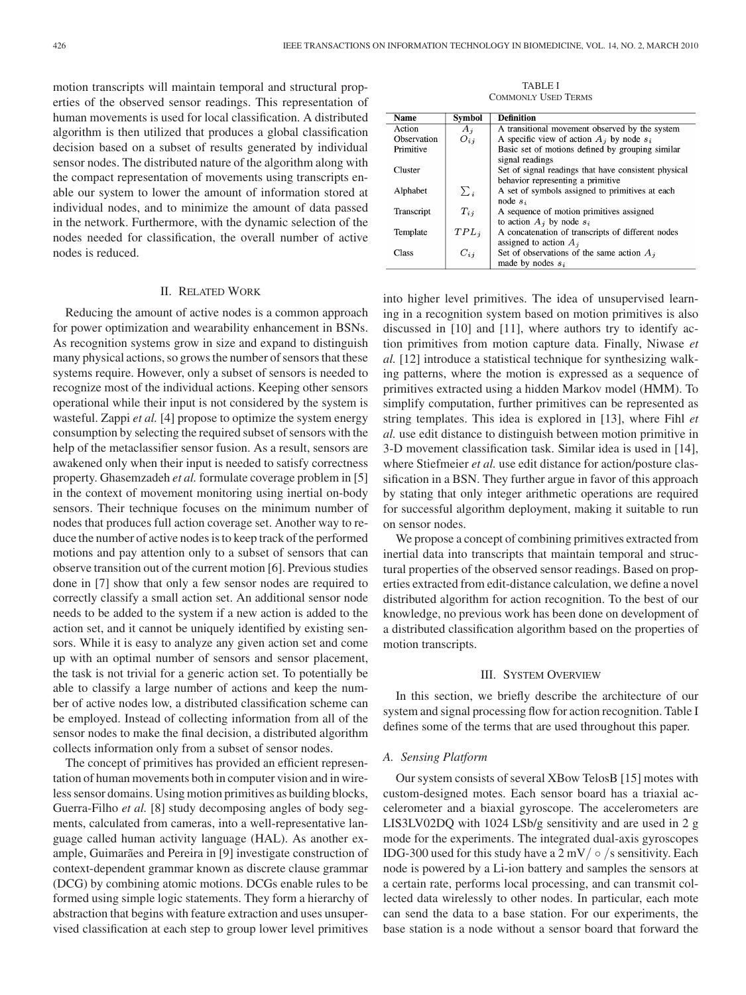motion transcripts will maintain temporal and structural properties of the observed sensor readings. This representation of human movements is used for local classification. A distributed algorithm is then utilized that produces a global classification decision based on a subset of results generated by individual sensor nodes. The distributed nature of the algorithm along with the compact representation of movements using transcripts enable our system to lower the amount of information stored at individual nodes, and to minimize the amount of data passed in the network. Furthermore, with the dynamic selection of the nodes needed for classification, the overall number of active nodes is reduced.

# II. RELATED WORK

Reducing the amount of active nodes is a common approach for power optimization and wearability enhancement in BSNs. As recognition systems grow in size and expand to distinguish many physical actions, so grows the number of sensors that these systems require. However, only a subset of sensors is needed to recognize most of the individual actions. Keeping other sensors operational while their input is not considered by the system is wasteful. Zappi *et al.* [4] propose to optimize the system energy consumption by selecting the required subset of sensors with the help of the metaclassifier sensor fusion. As a result, sensors are awakened only when their input is needed to satisfy correctness property. Ghasemzadeh *et al.* formulate coverage problem in [5] in the context of movement monitoring using inertial on-body sensors. Their technique focuses on the minimum number of nodes that produces full action coverage set. Another way to reduce the number of active nodes is to keep track of the performed motions and pay attention only to a subset of sensors that can observe transition out of the current motion [6]. Previous studies done in [7] show that only a few sensor nodes are required to correctly classify a small action set. An additional sensor node needs to be added to the system if a new action is added to the action set, and it cannot be uniquely identified by existing sensors. While it is easy to analyze any given action set and come up with an optimal number of sensors and sensor placement, the task is not trivial for a generic action set. To potentially be able to classify a large number of actions and keep the number of active nodes low, a distributed classification scheme can be employed. Instead of collecting information from all of the sensor nodes to make the final decision, a distributed algorithm collects information only from a subset of sensor nodes.

The concept of primitives has provided an efficient representation of human movements both in computer vision and in wireless sensor domains. Using motion primitives as building blocks, Guerra-Filho *et al.* [8] study decomposing angles of body segments, calculated from cameras, into a well-representative language called human activity language (HAL). As another example, Guimarães and Pereira in [9] investigate construction of context-dependent grammar known as discrete clause grammar (DCG) by combining atomic motions. DCGs enable rules to be formed using simple logic statements. They form a hierarchy of abstraction that begins with feature extraction and uses unsupervised classification at each step to group lower level primitives

TABLE I COMMONLY USED TERMS

| <b>Name</b> | Symbol    | <b>Definition</b>                                                                         |
|-------------|-----------|-------------------------------------------------------------------------------------------|
| Action      | $A_i$     | A transitional movement observed by the system                                            |
| Observation | $O_{i,i}$ | A specific view of action $A_i$ by node $s_i$                                             |
| Primitive   |           | Basic set of motions defined by grouping similar<br>signal readings                       |
| Cluster     |           | Set of signal readings that have consistent physical<br>behavior representing a primitive |
| Alphabet    | $\sum_i$  | A set of symbols assigned to primitives at each<br>node $s_i$                             |
| Transcript  | $T_{i,i}$ | A sequence of motion primitives assigned<br>to action $A_i$ by node $s_i$                 |
| Template    | $TPL_i$   | A concatenation of transcripts of different nodes<br>assigned to action $A_i$             |
| Class       | $C_{i,i}$ | Set of observations of the same action $A_i$<br>made by nodes $s_i$                       |

into higher level primitives. The idea of unsupervised learning in a recognition system based on motion primitives is also discussed in [10] and [11], where authors try to identify action primitives from motion capture data. Finally, Niwase *et al.* [12] introduce a statistical technique for synthesizing walking patterns, where the motion is expressed as a sequence of primitives extracted using a hidden Markov model (HMM). To simplify computation, further primitives can be represented as string templates. This idea is explored in [13], where Fihl *et al.* use edit distance to distinguish between motion primitive in 3-D movement classification task. Similar idea is used in [14], where Stiefmeier *et al.* use edit distance for action/posture classification in a BSN. They further argue in favor of this approach by stating that only integer arithmetic operations are required for successful algorithm deployment, making it suitable to run on sensor nodes.

We propose a concept of combining primitives extracted from inertial data into transcripts that maintain temporal and structural properties of the observed sensor readings. Based on properties extracted from edit-distance calculation, we define a novel distributed algorithm for action recognition. To the best of our knowledge, no previous work has been done on development of a distributed classification algorithm based on the properties of motion transcripts.

## III. SYSTEM OVERVIEW

In this section, we briefly describe the architecture of our system and signal processing flow for action recognition. Table I defines some of the terms that are used throughout this paper.

### *A. Sensing Platform*

Our system consists of several XBow TelosB [15] motes with custom-designed motes. Each sensor board has a triaxial accelerometer and a biaxial gyroscope. The accelerometers are LIS3LV02DQ with 1024 LSb/g sensitivity and are used in 2 g mode for the experiments. The integrated dual-axis gyroscopes IDG-300 used for this study have a  $2 \text{ mV} / \circ / \text{s}$  sensitivity. Each node is powered by a Li-ion battery and samples the sensors at a certain rate, performs local processing, and can transmit collected data wirelessly to other nodes. In particular, each mote can send the data to a base station. For our experiments, the base station is a node without a sensor board that forward the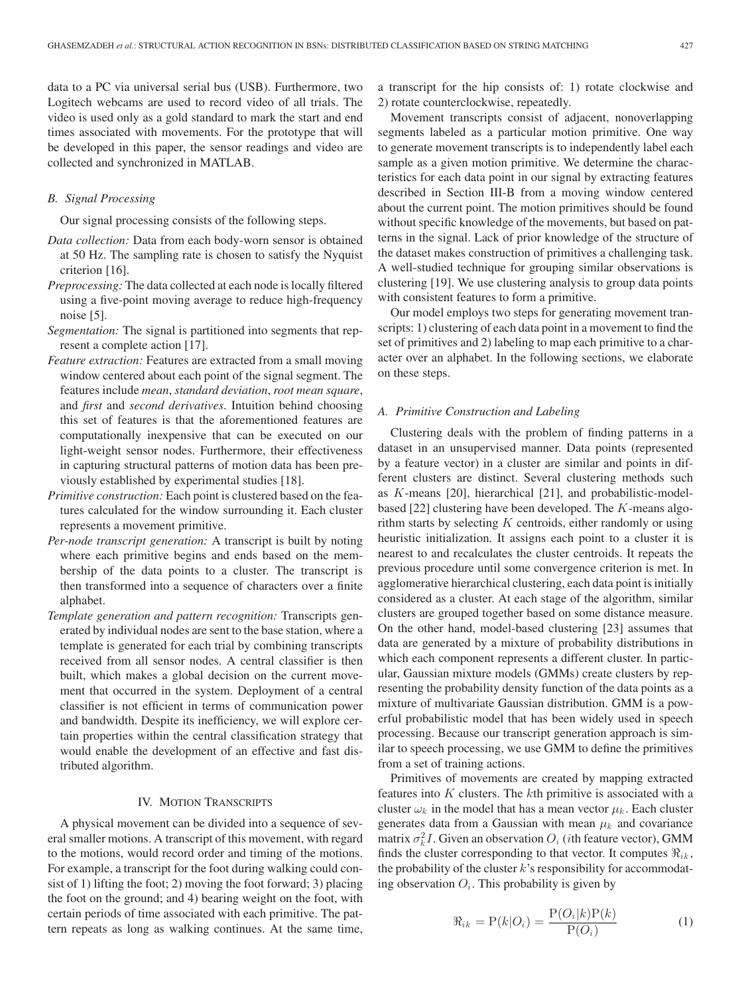data to a PC via universal serial bus (USB). Furthermore, two Logitech webcams are used to record video of all trials. The video is used only as a gold standard to mark the start and end times associated with movements. For the prototype that will be developed in this paper, the sensor readings and video are collected and synchronized in MATLAB.

#### *B. Signal Processing*

Our signal processing consists of the following steps.

- *Data collection:* Data from each body-worn sensor is obtained at 50 Hz. The sampling rate is chosen to satisfy the Nyquist criterion [16].
- *Preprocessing:* The data collected at each node is locally filtered using a five-point moving average to reduce high-frequency noise [5].
- *Segmentation:* The signal is partitioned into segments that represent a complete action [17].
- *Feature extraction:* Features are extracted from a small moving window centered about each point of the signal segment. The features include *mean*, *standard deviation*, *root mean square*, and *first* and *second derivatives*. Intuition behind choosing this set of features is that the aforementioned features are computationally inexpensive that can be executed on our light-weight sensor nodes. Furthermore, their effectiveness in capturing structural patterns of motion data has been previously established by experimental studies [18].
- *Primitive construction:* Each point is clustered based on the features calculated for the window surrounding it. Each cluster represents a movement primitive.
- *Per-node transcript generation:* A transcript is built by noting where each primitive begins and ends based on the membership of the data points to a cluster. The transcript is then transformed into a sequence of characters over a finite alphabet.
- *Template generation and pattern recognition:* Transcripts generated by individual nodes are sent to the base station, where a template is generated for each trial by combining transcripts received from all sensor nodes. A central classifier is then built, which makes a global decision on the current movement that occurred in the system. Deployment of a central classifier is not efficient in terms of communication power and bandwidth. Despite its inefficiency, we will explore certain properties within the central classification strategy that would enable the development of an effective and fast distributed algorithm.

# IV. MOTION TRANSCRIPTS

A physical movement can be divided into a sequence of several smaller motions. A transcript of this movement, with regard to the motions, would record order and timing of the motions. For example, a transcript for the foot during walking could consist of 1) lifting the foot; 2) moving the foot forward; 3) placing the foot on the ground; and 4) bearing weight on the foot, with certain periods of time associated with each primitive. The pattern repeats as long as walking continues. At the same time, a transcript for the hip consists of: 1) rotate clockwise and 2) rotate counterclockwise, repeatedly.

Movement transcripts consist of adjacent, nonoverlapping segments labeled as a particular motion primitive. One way to generate movement transcripts is to independently label each sample as a given motion primitive. We determine the characteristics for each data point in our signal by extracting features described in Section III-B from a moving window centered about the current point. The motion primitives should be found without specific knowledge of the movements, but based on patterns in the signal. Lack of prior knowledge of the structure of the dataset makes construction of primitives a challenging task. A well-studied technique for grouping similar observations is clustering [19]. We use clustering analysis to group data points with consistent features to form a primitive.

Our model employs two steps for generating movement transcripts: 1) clustering of each data point in a movement to find the set of primitives and 2) labeling to map each primitive to a character over an alphabet. In the following sections, we elaborate on these steps.

## *A. Primitive Construction and Labeling*

Clustering deals with the problem of finding patterns in a dataset in an unsupervised manner. Data points (represented by a feature vector) in a cluster are similar and points in different clusters are distinct. Several clustering methods such as K-means [20], hierarchical [21], and probabilistic-modelbased [22] clustering have been developed. The K-means algorithm starts by selecting  $K$  centroids, either randomly or using heuristic initialization. It assigns each point to a cluster it is nearest to and recalculates the cluster centroids. It repeats the previous procedure until some convergence criterion is met. In agglomerative hierarchical clustering, each data point is initially considered as a cluster. At each stage of the algorithm, similar clusters are grouped together based on some distance measure. On the other hand, model-based clustering [23] assumes that data are generated by a mixture of probability distributions in which each component represents a different cluster. In particular, Gaussian mixture models (GMMs) create clusters by representing the probability density function of the data points as a mixture of multivariate Gaussian distribution. GMM is a powerful probabilistic model that has been widely used in speech processing. Because our transcript generation approach is similar to speech processing, we use GMM to define the primitives from a set of training actions.

Primitives of movements are created by mapping extracted features into  $K$  clusters. The  $k$ th primitive is associated with a cluster  $\omega_k$  in the model that has a mean vector  $\mu_k$ . Each cluster generates data from a Gaussian with mean  $\mu_k$  and covariance matrix  $\sigma_k^2 I$ . Given an observation  $O_i$  (*i*th feature vector), GMM finds the cluster corresponding to that vector. It computes  $\Re_{ik}$ , the probability of the cluster  $k$ 's responsibility for accommodating observation  $O_i$ . This probability is given by

$$
\Re_{ik} = P(k|O_i) = \frac{P(O_i|k)P(k)}{P(O_i)}
$$
(1)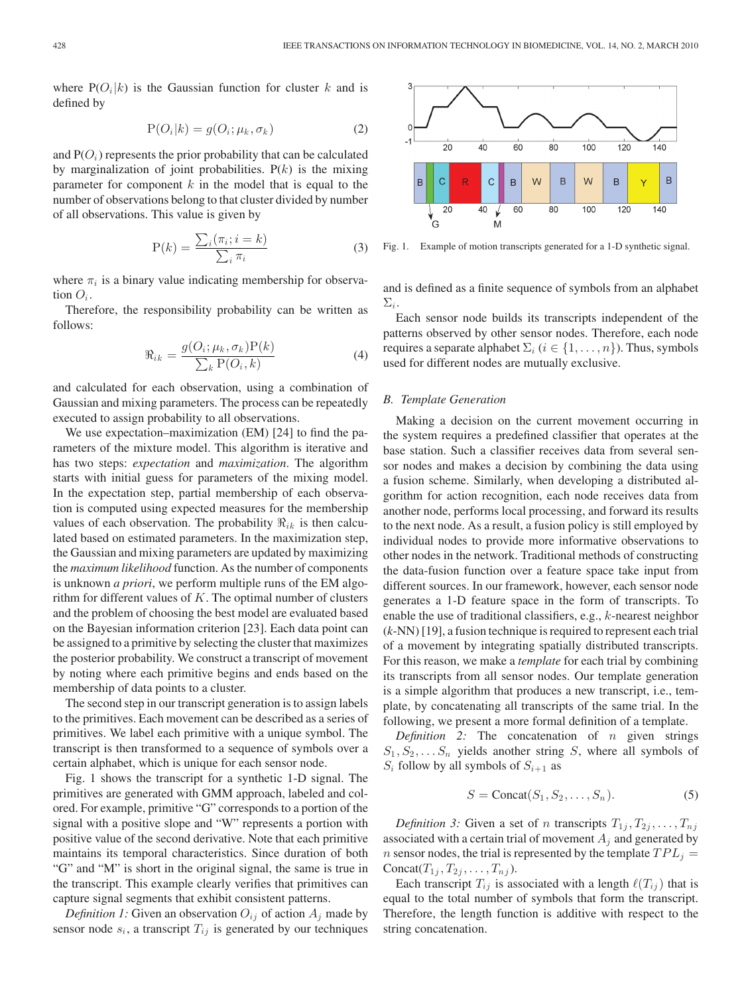where  $P(O_i|k)$  is the Gaussian function for cluster k and is defined by

$$
P(O_i|k) = g(O_i; \mu_k, \sigma_k)
$$
 (2)

and  $P(O_i)$  represents the prior probability that can be calculated by marginalization of joint probabilities.  $P(k)$  is the mixing parameter for component  $k$  in the model that is equal to the number of observations belong to that cluster divided by number of all observations. This value is given by

$$
P(k) = \frac{\sum_{i} (\pi_i; i = k)}{\sum_{i} \pi_i}
$$
 (3)

where  $\pi_i$  is a binary value indicating membership for observation  $O_i$ .

Therefore, the responsibility probability can be written as follows:

$$
\Re_{ik} = \frac{g(O_i; \mu_k, \sigma_k)P(k)}{\sum_k P(O_i, k)}
$$
(4)

and calculated for each observation, using a combination of Gaussian and mixing parameters. The process can be repeatedly executed to assign probability to all observations.

We use expectation–maximization (EM) [24] to find the parameters of the mixture model. This algorithm is iterative and has two steps: *expectation* and *maximization*. The algorithm starts with initial guess for parameters of the mixing model. In the expectation step, partial membership of each observation is computed using expected measures for the membership values of each observation. The probability  $\Re_{ik}$  is then calculated based on estimated parameters. In the maximization step, the Gaussian and mixing parameters are updated by maximizing the *maximum likelihood* function. As the number of components is unknown *a priori*, we perform multiple runs of the EM algorithm for different values of  $K$ . The optimal number of clusters and the problem of choosing the best model are evaluated based on the Bayesian information criterion [23]. Each data point can be assigned to a primitive by selecting the cluster that maximizes the posterior probability. We construct a transcript of movement by noting where each primitive begins and ends based on the membership of data points to a cluster.

The second step in our transcript generation is to assign labels to the primitives. Each movement can be described as a series of primitives. We label each primitive with a unique symbol. The transcript is then transformed to a sequence of symbols over a certain alphabet, which is unique for each sensor node.

Fig. 1 shows the transcript for a synthetic 1-D signal. The primitives are generated with GMM approach, labeled and colored. For example, primitive "G" corresponds to a portion of the signal with a positive slope and "W" represents a portion with positive value of the second derivative. Note that each primitive maintains its temporal characteristics. Since duration of both "G" and "M" is short in the original signal, the same is true in the transcript. This example clearly verifies that primitives can capture signal segments that exhibit consistent patterns.

*Definition 1:* Given an observation  $O_{ij}$  of action  $A_j$  made by sensor node  $s_i$ , a transcript  $T_{ij}$  is generated by our techniques



Fig. 1. Example of motion transcripts generated for a 1-D synthetic signal.

and is defined as a finite sequence of symbols from an alphabet  $\Sigma_i$ .

Each sensor node builds its transcripts independent of the patterns observed by other sensor nodes. Therefore, each node requires a separate alphabet  $\Sigma_i$  ( $i \in \{1, \ldots, n\}$ ). Thus, symbols used for different nodes are mutually exclusive.

# *B. Template Generation*

Making a decision on the current movement occurring in the system requires a predefined classifier that operates at the base station. Such a classifier receives data from several sensor nodes and makes a decision by combining the data using a fusion scheme. Similarly, when developing a distributed algorithm for action recognition, each node receives data from another node, performs local processing, and forward its results to the next node. As a result, a fusion policy is still employed by individual nodes to provide more informative observations to other nodes in the network. Traditional methods of constructing the data-fusion function over a feature space take input from different sources. In our framework, however, each sensor node generates a 1-D feature space in the form of transcripts. To enable the use of traditional classifiers, e.g., k-nearest neighbor (*k*-NN) [19], a fusion technique is required to represent each trial of a movement by integrating spatially distributed transcripts. For this reason, we make a *template* for each trial by combining its transcripts from all sensor nodes. Our template generation is a simple algorithm that produces a new transcript, i.e., template, by concatenating all transcripts of the same trial. In the following, we present a more formal definition of a template.

*Definition* 2: The concatenation of  $n$  given strings  $S_1, S_2, \ldots S_n$  yields another string S, where all symbols of  $S_i$  follow by all symbols of  $S_{i+1}$  as

$$
S = \text{Concat}(S_1, S_2, \dots, S_n). \tag{5}
$$

*Definition 3:* Given a set of *n* transcripts  $T_{1j}, T_{2j}, \ldots, T_{nj}$ associated with a certain trial of movement  $A_i$  and generated by n sensor nodes, the trial is represented by the template  $TPL_j =$ Concat $(T_{1j},T_{2j},\ldots,T_{nj}).$ 

Each transcript  $T_{ij}$  is associated with a length  $\ell(T_{ij})$  that is equal to the total number of symbols that form the transcript. Therefore, the length function is additive with respect to the string concatenation.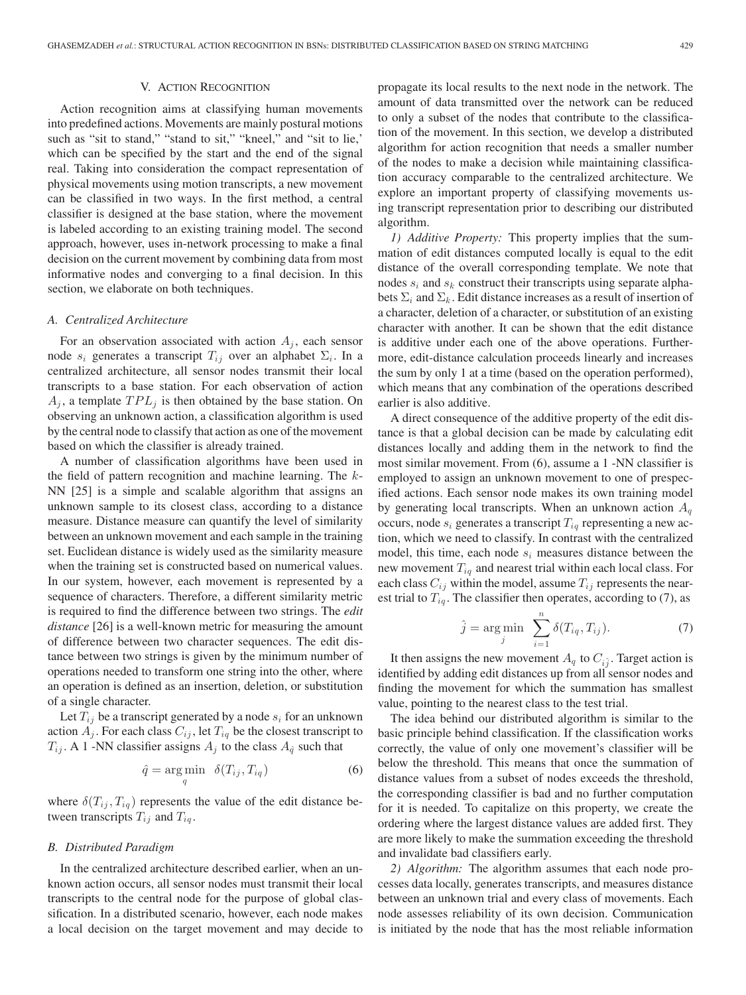#### V. ACTION RECOGNITION

Action recognition aims at classifying human movements into predefined actions. Movements are mainly postural motions such as "sit to stand," "stand to sit," "kneel," and "sit to lie,' which can be specified by the start and the end of the signal real. Taking into consideration the compact representation of physical movements using motion transcripts, a new movement can be classified in two ways. In the first method, a central classifier is designed at the base station, where the movement is labeled according to an existing training model. The second approach, however, uses in-network processing to make a final decision on the current movement by combining data from most informative nodes and converging to a final decision. In this section, we elaborate on both techniques.

#### *A. Centralized Architecture*

For an observation associated with action  $A_j$ , each sensor node  $s_i$  generates a transcript  $T_{ij}$  over an alphabet  $\Sigma_i$ . In a centralized architecture, all sensor nodes transmit their local transcripts to a base station. For each observation of action  $A_i$ , a template  $TPL_i$  is then obtained by the base station. On observing an unknown action, a classification algorithm is used by the central node to classify that action as one of the movement based on which the classifier is already trained.

A number of classification algorithms have been used in the field of pattern recognition and machine learning. The k-NN [25] is a simple and scalable algorithm that assigns an unknown sample to its closest class, according to a distance measure. Distance measure can quantify the level of similarity between an unknown movement and each sample in the training set. Euclidean distance is widely used as the similarity measure when the training set is constructed based on numerical values. In our system, however, each movement is represented by a sequence of characters. Therefore, a different similarity metric is required to find the difference between two strings. The *edit distance* [26] is a well-known metric for measuring the amount of difference between two character sequences. The edit distance between two strings is given by the minimum number of operations needed to transform one string into the other, where an operation is defined as an insertion, deletion, or substitution of a single character.

Let  $T_{ij}$  be a transcript generated by a node  $s_i$  for an unknown action  $A_j$ . For each class  $C_{ij}$ , let  $T_{iq}$  be the closest transcript to  $T_{ij}$ . A 1 -NN classifier assigns  $A_j$  to the class  $A_{\hat{q}}$  such that

$$
\hat{q} = \underset{q}{\arg\min} \quad \delta(T_{ij}, T_{iq}) \tag{6}
$$

where  $\delta(T_{ij}, T_{iq})$  represents the value of the edit distance between transcripts  $T_{ij}$  and  $T_{iq}$ .

### *B. Distributed Paradigm*

In the centralized architecture described earlier, when an unknown action occurs, all sensor nodes must transmit their local transcripts to the central node for the purpose of global classification. In a distributed scenario, however, each node makes a local decision on the target movement and may decide to propagate its local results to the next node in the network. The amount of data transmitted over the network can be reduced to only a subset of the nodes that contribute to the classification of the movement. In this section, we develop a distributed algorithm for action recognition that needs a smaller number of the nodes to make a decision while maintaining classification accuracy comparable to the centralized architecture. We explore an important property of classifying movements using transcript representation prior to describing our distributed algorithm.

*1) Additive Property:* This property implies that the summation of edit distances computed locally is equal to the edit distance of the overall corresponding template. We note that nodes  $s_i$  and  $s_k$  construct their transcripts using separate alphabets  $\Sigma_i$  and  $\Sigma_k$ . Edit distance increases as a result of insertion of a character, deletion of a character, or substitution of an existing character with another. It can be shown that the edit distance is additive under each one of the above operations. Furthermore, edit-distance calculation proceeds linearly and increases the sum by only 1 at a time (based on the operation performed), which means that any combination of the operations described earlier is also additive.

A direct consequence of the additive property of the edit distance is that a global decision can be made by calculating edit distances locally and adding them in the network to find the most similar movement. From (6), assume a 1 -NN classifier is employed to assign an unknown movement to one of prespecified actions. Each sensor node makes its own training model by generating local transcripts. When an unknown action  $A_q$ occurs, node  $s_i$  generates a transcript  $T_{iq}$  representing a new action, which we need to classify. In contrast with the centralized model, this time, each node  $s_i$  measures distance between the new movement  $T_{iq}$  and nearest trial within each local class. For each class  $C_{ij}$  within the model, assume  $T_{ij}$  represents the nearest trial to  $T_{iq}$ . The classifier then operates, according to (7), as

$$
\hat{j} = \underset{j}{\text{arg min}} \sum_{i=1}^{n} \delta(T_{iq}, T_{ij}). \tag{7}
$$

It then assigns the new movement  $A_q$  to  $C_{i\hat{i}}$ . Target action is identified by adding edit distances up from all sensor nodes and finding the movement for which the summation has smallest value, pointing to the nearest class to the test trial.

The idea behind our distributed algorithm is similar to the basic principle behind classification. If the classification works correctly, the value of only one movement's classifier will be below the threshold. This means that once the summation of distance values from a subset of nodes exceeds the threshold, the corresponding classifier is bad and no further computation for it is needed. To capitalize on this property, we create the ordering where the largest distance values are added first. They are more likely to make the summation exceeding the threshold and invalidate bad classifiers early.

*2) Algorithm:* The algorithm assumes that each node processes data locally, generates transcripts, and measures distance between an unknown trial and every class of movements. Each node assesses reliability of its own decision. Communication is initiated by the node that has the most reliable information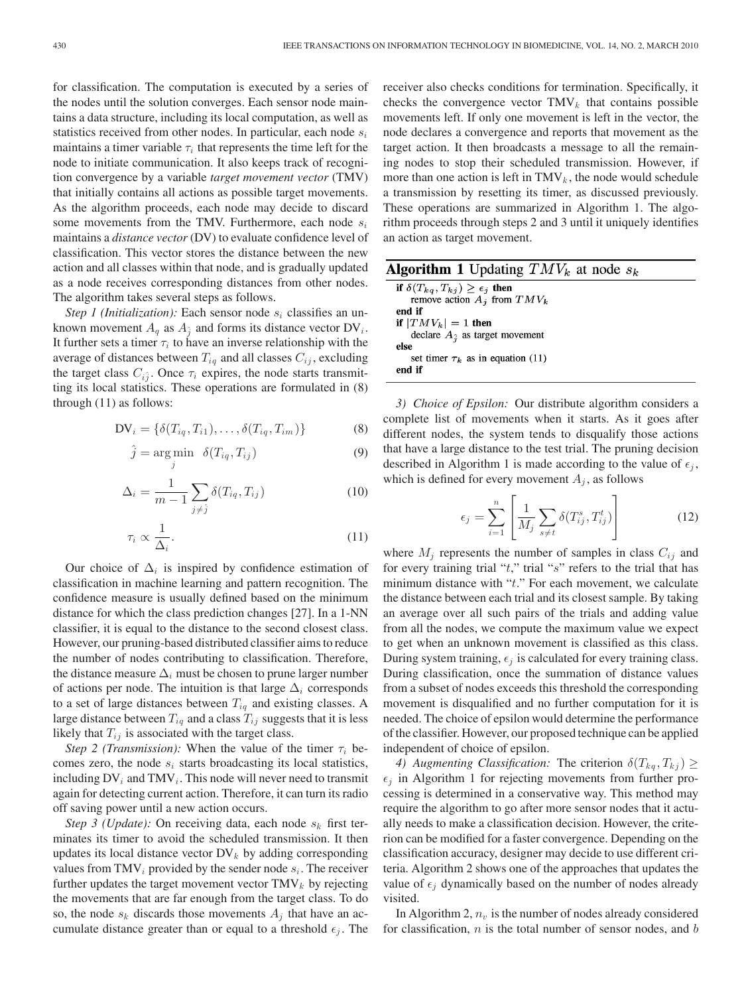for classification. The computation is executed by a series of the nodes until the solution converges. Each sensor node maintains a data structure, including its local computation, as well as statistics received from other nodes. In particular, each node  $s_i$ maintains a timer variable  $\tau_i$  that represents the time left for the node to initiate communication. It also keeps track of recognition convergence by a variable *target movement vector* (TMV) that initially contains all actions as possible target movements. As the algorithm proceeds, each node may decide to discard some movements from the TMV. Furthermore, each node  $s_i$ maintains a *distance vector* (DV) to evaluate confidence level of classification. This vector stores the distance between the new action and all classes within that node, and is gradually updated as a node receives corresponding distances from other nodes. The algorithm takes several steps as follows.

*Step 1 (Initialization):* Each sensor node  $s_i$  classifies an unknown movement  $A_q$  as  $A_{\hat{q}}$  and forms its distance vector  $DV_i$ . It further sets a timer  $\tau_i$  to have an inverse relationship with the average of distances between  $T_{iq}$  and all classes  $C_{ij}$ , excluding the target class  $C_{i\hat{i}}$ . Once  $\tau_i$  expires, the node starts transmitting its local statistics. These operations are formulated in (8) through (11) as follows:

$$
DV_i = \{\delta(T_{iq}, T_{i1}), \dots, \delta(T_{iq}, T_{im})\}\tag{8}
$$

$$
\hat{j} = \underset{j}{\arg\min} \quad \delta(T_{iq}, T_{ij}) \tag{9}
$$

$$
\Delta_i = \frac{1}{m-1} \sum_{j \neq \hat{j}} \delta(T_{iq}, T_{ij}) \tag{10}
$$

$$
\tau_i \propto \frac{1}{\Delta_i}.\tag{11}
$$

Our choice of  $\Delta_i$  is inspired by confidence estimation of classification in machine learning and pattern recognition. The confidence measure is usually defined based on the minimum distance for which the class prediction changes [27]. In a 1-NN classifier, it is equal to the distance to the second closest class. However, our pruning-based distributed classifier aims to reduce the number of nodes contributing to classification. Therefore, the distance measure  $\Delta_i$  must be chosen to prune larger number of actions per node. The intuition is that large  $\Delta_i$  corresponds to a set of large distances between  $T_{iq}$  and existing classes. A large distance between  $T_{iq}$  and a class  $T_{ij}$  suggests that it is less likely that  $T_{ij}$  is associated with the target class.

*Step 2 (Transmission):* When the value of the timer  $\tau_i$  becomes zero, the node  $s_i$  starts broadcasting its local statistics, including  $DV_i$  and TMV<sub>i</sub>. This node will never need to transmit again for detecting current action. Therefore, it can turn its radio off saving power until a new action occurs.

*Step 3 (Update):* On receiving data, each node  $s_k$  first terminates its timer to avoid the scheduled transmission. It then updates its local distance vector  $DV_k$  by adding corresponding values from TMV<sub>i</sub> provided by the sender node  $s_i$ . The receiver further updates the target movement vector  $\text{TMV}_k$  by rejecting the movements that are far enough from the target class. To do so, the node  $s_k$  discards those movements  $A_i$  that have an accumulate distance greater than or equal to a threshold  $\epsilon_i$ . The

receiver also checks conditions for termination. Specifically, it checks the convergence vector  $\text{TMV}_k$  that contains possible movements left. If only one movement is left in the vector, the node declares a convergence and reports that movement as the target action. It then broadcasts a message to all the remaining nodes to stop their scheduled transmission. However, if more than one action is left in  $TMV_k$ , the node would schedule a transmission by resetting its timer, as discussed previously. These operations are summarized in Algorithm 1. The algorithm proceeds through steps 2 and 3 until it uniquely identifies an action as target movement.

| <b>Algorithm 1</b> Updating $TMV_k$ at node $s_k$                                                                     |
|-----------------------------------------------------------------------------------------------------------------------|
| if $\delta(T_{ka}, T_{ki}) \geq \epsilon_j$ then<br>remove action $A_i$ from $TMV_k$<br>end if<br>if $ TMV_k =1$ then |
| declare $A_{\hat{i}}$ as target movement<br>else<br>set timer $\tau_k$ as in equation (11)<br>end if                  |

*3) Choice of Epsilon:* Our distribute algorithm considers a complete list of movements when it starts. As it goes after different nodes, the system tends to disqualify those actions that have a large distance to the test trial. The pruning decision described in Algorithm 1 is made according to the value of  $\epsilon_i$ , which is defined for every movement  $A_i$ , as follows

$$
\epsilon_j = \sum_{i=1}^n \left[ \frac{1}{M_j} \sum_{s \neq t} \delta(T_{ij}^s, T_{ij}^t) \right]
$$
(12)

where  $M_i$  represents the number of samples in class  $C_{ij}$  and for every training trial " $t$ ," trial "s" refers to the trial that has minimum distance with "t." For each movement, we calculate the distance between each trial and its closest sample. By taking an average over all such pairs of the trials and adding value from all the nodes, we compute the maximum value we expect to get when an unknown movement is classified as this class. During system training,  $\epsilon_i$  is calculated for every training class. During classification, once the summation of distance values from a subset of nodes exceeds this threshold the corresponding movement is disqualified and no further computation for it is needed. The choice of epsilon would determine the performance of the classifier. However, our proposed technique can be applied independent of choice of epsilon.

*4) Augmenting Classification:* The criterion  $\delta(T_{kq}, T_{kj}) \geq$  $\epsilon_i$  in Algorithm 1 for rejecting movements from further processing is determined in a conservative way. This method may require the algorithm to go after more sensor nodes that it actually needs to make a classification decision. However, the criterion can be modified for a faster convergence. Depending on the classification accuracy, designer may decide to use different criteria. Algorithm 2 shows one of the approaches that updates the value of  $\epsilon_j$  dynamically based on the number of nodes already visited.

In Algorithm 2,  $n_v$  is the number of nodes already considered for classification,  $n$  is the total number of sensor nodes, and  $b$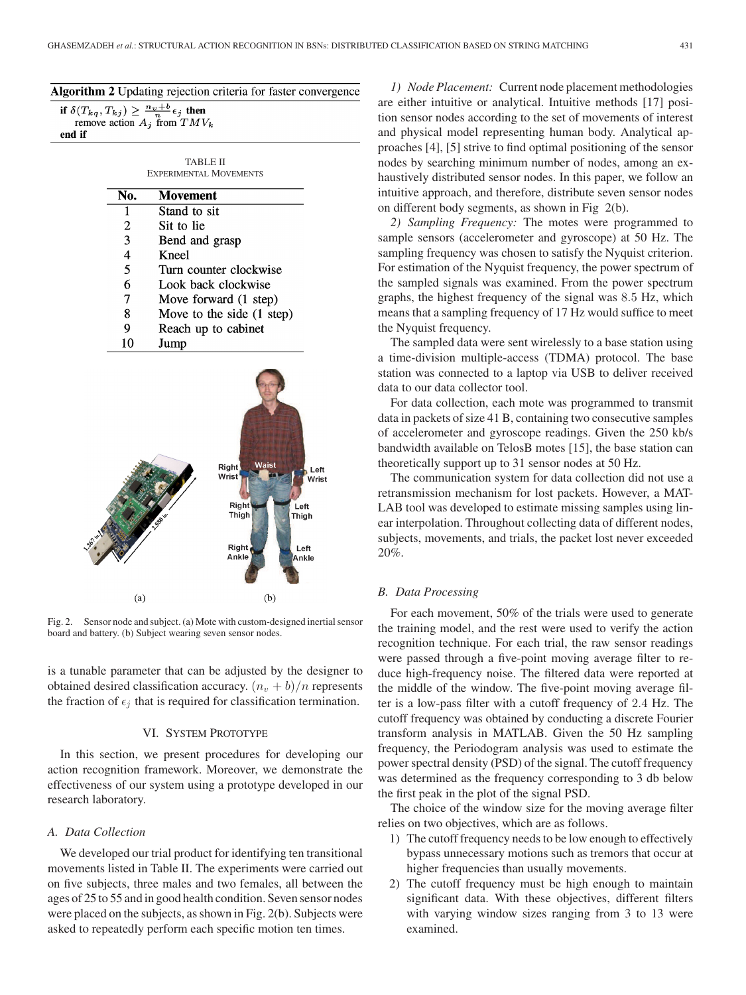TABLE II

| if $\delta(T_{kq}, T_{kj}) \geq \frac{n_v + b}{n} \epsilon_j$ then |  |
|--------------------------------------------------------------------|--|
| remove action $A_i$ from $TMV_k$                                   |  |
| end if                                                             |  |

|                          | <b>EXPERIMENTAL MOVEMENTS</b> |
|--------------------------|-------------------------------|
| No.                      | Movement                      |
| 1                        | Stand to sit                  |
| 2                        | Sit to lie                    |
| 3                        | Bend and grasp                |
| $\overline{\mathcal{A}}$ | Kneel                         |
| 5                        | Turn counter clockwise        |
| 6                        | Look back clockwise           |
| 7                        | Move forward (1 step)         |
| 8                        | Move to the side (1 step)     |
| 9                        | Reach up to cabinet           |
|                          | Jump                          |



Fig. 2. Sensor node and subject. (a) Mote with custom-designed inertial sensor board and battery. (b) Subject wearing seven sensor nodes.

is a tunable parameter that can be adjusted by the designer to obtained desired classification accuracy.  $(n_v + b)/n$  represents the fraction of  $\epsilon_i$  that is required for classification termination.

## VI. SYSTEM PROTOTYPE

In this section, we present procedures for developing our action recognition framework. Moreover, we demonstrate the effectiveness of our system using a prototype developed in our research laboratory.

### *A. Data Collection*

We developed our trial product for identifying ten transitional movements listed in Table II. The experiments were carried out on five subjects, three males and two females, all between the ages of 25 to 55 and in good health condition. Seven sensor nodes were placed on the subjects, as shown in Fig. 2(b). Subjects were asked to repeatedly perform each specific motion ten times.

*1) Node Placement:* Current node placement methodologies are either intuitive or analytical. Intuitive methods [17] position sensor nodes according to the set of movements of interest and physical model representing human body. Analytical approaches [4], [5] strive to find optimal positioning of the sensor nodes by searching minimum number of nodes, among an exhaustively distributed sensor nodes. In this paper, we follow an intuitive approach, and therefore, distribute seven sensor nodes on different body segments, as shown in Fig 2(b).

*2) Sampling Frequency:* The motes were programmed to sample sensors (accelerometer and gyroscope) at 50 Hz. The sampling frequency was chosen to satisfy the Nyquist criterion. For estimation of the Nyquist frequency, the power spectrum of the sampled signals was examined. From the power spectrum graphs, the highest frequency of the signal was 8.5 Hz, which means that a sampling frequency of 17 Hz would suffice to meet the Nyquist frequency.

The sampled data were sent wirelessly to a base station using a time-division multiple-access (TDMA) protocol. The base station was connected to a laptop via USB to deliver received data to our data collector tool.

For data collection, each mote was programmed to transmit data in packets of size 41 B, containing two consecutive samples of accelerometer and gyroscope readings. Given the 250 kb/s bandwidth available on TelosB motes [15], the base station can theoretically support up to 31 sensor nodes at 50 Hz.

The communication system for data collection did not use a retransmission mechanism for lost packets. However, a MAT-LAB tool was developed to estimate missing samples using linear interpolation. Throughout collecting data of different nodes, subjects, movements, and trials, the packet lost never exceeded 20%.

## *B. Data Processing*

For each movement, 50% of the trials were used to generate the training model, and the rest were used to verify the action recognition technique. For each trial, the raw sensor readings were passed through a five-point moving average filter to reduce high-frequency noise. The filtered data were reported at the middle of the window. The five-point moving average filter is a low-pass filter with a cutoff frequency of 2.4 Hz. The cutoff frequency was obtained by conducting a discrete Fourier transform analysis in MATLAB. Given the 50 Hz sampling frequency, the Periodogram analysis was used to estimate the power spectral density (PSD) of the signal. The cutoff frequency was determined as the frequency corresponding to 3 db below the first peak in the plot of the signal PSD.

The choice of the window size for the moving average filter relies on two objectives, which are as follows.

- 1) The cutoff frequency needs to be low enough to effectively bypass unnecessary motions such as tremors that occur at higher frequencies than usually movements.
- 2) The cutoff frequency must be high enough to maintain significant data. With these objectives, different filters with varying window sizes ranging from 3 to 13 were examined.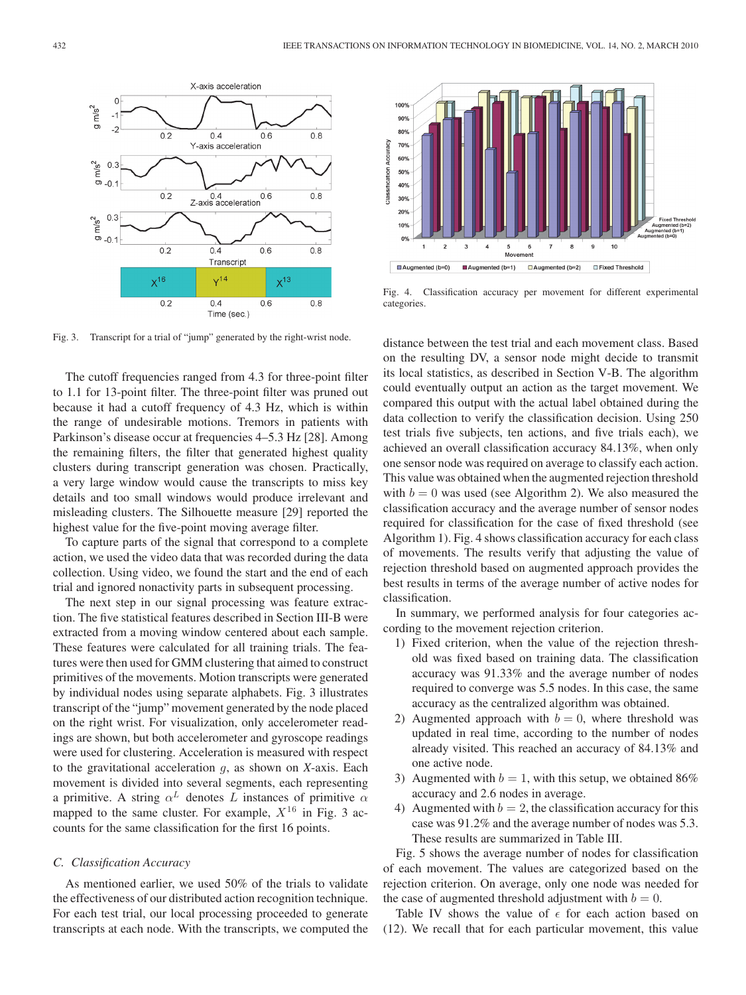

Fig. 3. Transcript for a trial of "jump" generated by the right-wrist node.

The cutoff frequencies ranged from 4.3 for three-point filter to 1.1 for 13-point filter. The three-point filter was pruned out because it had a cutoff frequency of 4.3 Hz, which is within the range of undesirable motions. Tremors in patients with Parkinson's disease occur at frequencies 4–5.3 Hz [28]. Among the remaining filters, the filter that generated highest quality clusters during transcript generation was chosen. Practically, a very large window would cause the transcripts to miss key details and too small windows would produce irrelevant and misleading clusters. The Silhouette measure [29] reported the highest value for the five-point moving average filter.

To capture parts of the signal that correspond to a complete action, we used the video data that was recorded during the data collection. Using video, we found the start and the end of each trial and ignored nonactivity parts in subsequent processing.

The next step in our signal processing was feature extraction. The five statistical features described in Section III-B were extracted from a moving window centered about each sample. These features were calculated for all training trials. The features were then used for GMM clustering that aimed to construct primitives of the movements. Motion transcripts were generated by individual nodes using separate alphabets. Fig. 3 illustrates transcript of the "jump" movement generated by the node placed on the right wrist. For visualization, only accelerometer readings are shown, but both accelerometer and gyroscope readings were used for clustering. Acceleration is measured with respect to the gravitational acceleration g, as shown on *X*-axis. Each movement is divided into several segments, each representing a primitive. A string  $\alpha^L$  denotes L instances of primitive  $\alpha$ mapped to the same cluster. For example,  $X^{16}$  in Fig. 3 accounts for the same classification for the first 16 points.

## *C. Classification Accuracy*

As mentioned earlier, we used 50% of the trials to validate the effectiveness of our distributed action recognition technique. For each test trial, our local processing proceeded to generate transcripts at each node. With the transcripts, we computed the



Fig. 4. Classification accuracy per movement for different experimental categories.

distance between the test trial and each movement class. Based on the resulting DV, a sensor node might decide to transmit its local statistics, as described in Section V-B. The algorithm could eventually output an action as the target movement. We compared this output with the actual label obtained during the data collection to verify the classification decision. Using 250 test trials five subjects, ten actions, and five trials each), we achieved an overall classification accuracy 84.13%, when only one sensor node was required on average to classify each action. This value was obtained when the augmented rejection threshold with  $b = 0$  was used (see Algorithm 2). We also measured the classification accuracy and the average number of sensor nodes required for classification for the case of fixed threshold (see Algorithm 1). Fig. 4 shows classification accuracy for each class of movements. The results verify that adjusting the value of rejection threshold based on augmented approach provides the best results in terms of the average number of active nodes for classification.

In summary, we performed analysis for four categories according to the movement rejection criterion.

- 1) Fixed criterion, when the value of the rejection threshold was fixed based on training data. The classification accuracy was 91.33% and the average number of nodes required to converge was 5.5 nodes. In this case, the same accuracy as the centralized algorithm was obtained.
- 2) Augmented approach with  $b = 0$ , where threshold was updated in real time, according to the number of nodes already visited. This reached an accuracy of 84.13% and one active node.
- 3) Augmented with  $b = 1$ , with this setup, we obtained 86% accuracy and 2.6 nodes in average.
- 4) Augmented with  $b = 2$ , the classification accuracy for this case was 91.2% and the average number of nodes was 5.3. These results are summarized in Table III.

Fig. 5 shows the average number of nodes for classification of each movement. The values are categorized based on the rejection criterion. On average, only one node was needed for the case of augmented threshold adjustment with  $b = 0$ .

Table IV shows the value of  $\epsilon$  for each action based on (12). We recall that for each particular movement, this value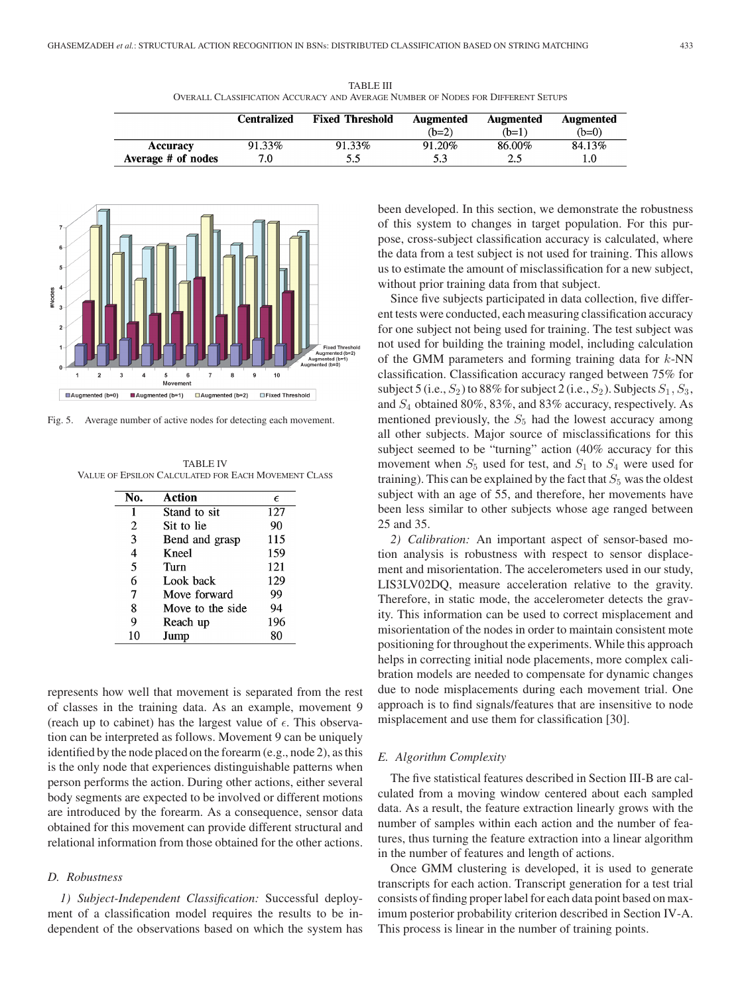|                    | Centralized | <b>Fixed Threshold</b> | Augmented | Augmented | <b>Augmented</b> |
|--------------------|-------------|------------------------|-----------|-----------|------------------|
|                    |             |                        | (b=2)     | $(b=1)$   | (b=0)            |
| Accuracy           | 91.33%      | 91.33%                 | 91.20%    | 86.00%    | 84.13%           |
| Average # of nodes | 7.0         | 5.5                    | 5.3       |           | l.O              |

TABLE III OVERALL CLASSIFICATION ACCURACY AND AVERAGE NUMBER OF NODES FOR DIFFERENT SETUPS



Fig. 5. Average number of active nodes for detecting each movement.

TABLE IV VALUE OF EPSILON CALCULATED FOR EACH MOVEMENT CLASS

| No. | Action           | E.  |
|-----|------------------|-----|
| 1   | Stand to sit     | 127 |
| 2   | Sit to lie       | 90  |
| 3   | Bend and grasp   | 115 |
| 4   | Kneel            | 159 |
| 5   | Turn             | 121 |
| 6   | Look back        | 129 |
| 7   | Move forward     | 99  |
| 8   | Move to the side | 94  |
| 9   | Reach up         | 196 |
| 10  | Jump             | 80  |

represents how well that movement is separated from the rest of classes in the training data. As an example, movement 9 (reach up to cabinet) has the largest value of  $\epsilon$ . This observation can be interpreted as follows. Movement 9 can be uniquely identified by the node placed on the forearm (e.g., node 2), as this is the only node that experiences distinguishable patterns when person performs the action. During other actions, either several body segments are expected to be involved or different motions are introduced by the forearm. As a consequence, sensor data obtained for this movement can provide different structural and relational information from those obtained for the other actions.

#### *D. Robustness*

*1) Subject-Independent Classification:* Successful deployment of a classification model requires the results to be independent of the observations based on which the system has been developed. In this section, we demonstrate the robustness of this system to changes in target population. For this purpose, cross-subject classification accuracy is calculated, where the data from a test subject is not used for training. This allows us to estimate the amount of misclassification for a new subject, without prior training data from that subject.

Since five subjects participated in data collection, five different tests were conducted, each measuring classification accuracy for one subject not being used for training. The test subject was not used for building the training model, including calculation of the GMM parameters and forming training data for  $k$ -NN classification. Classification accuracy ranged between 75% for subject 5 (i.e.,  $S_2$ ) to 88% for subject 2 (i.e.,  $S_2$ ). Subjects  $S_1, S_3$ , and  $S_4$  obtained 80%, 83%, and 83% accuracy, respectively. As mentioned previously, the  $S_5$  had the lowest accuracy among all other subjects. Major source of misclassifications for this subject seemed to be "turning" action (40% accuracy for this movement when  $S_5$  used for test, and  $S_1$  to  $S_4$  were used for training). This can be explained by the fact that  $S_5$  was the oldest subject with an age of 55, and therefore, her movements have been less similar to other subjects whose age ranged between 25 and 35.

*2) Calibration:* An important aspect of sensor-based motion analysis is robustness with respect to sensor displacement and misorientation. The accelerometers used in our study, LIS3LV02DQ, measure acceleration relative to the gravity. Therefore, in static mode, the accelerometer detects the gravity. This information can be used to correct misplacement and misorientation of the nodes in order to maintain consistent mote positioning for throughout the experiments. While this approach helps in correcting initial node placements, more complex calibration models are needed to compensate for dynamic changes due to node misplacements during each movement trial. One approach is to find signals/features that are insensitive to node misplacement and use them for classification [30].

### *E. Algorithm Complexity*

The five statistical features described in Section III-B are calculated from a moving window centered about each sampled data. As a result, the feature extraction linearly grows with the number of samples within each action and the number of features, thus turning the feature extraction into a linear algorithm in the number of features and length of actions.

Once GMM clustering is developed, it is used to generate transcripts for each action. Transcript generation for a test trial consists of finding proper label for each data point based on maximum posterior probability criterion described in Section IV-A. This process is linear in the number of training points.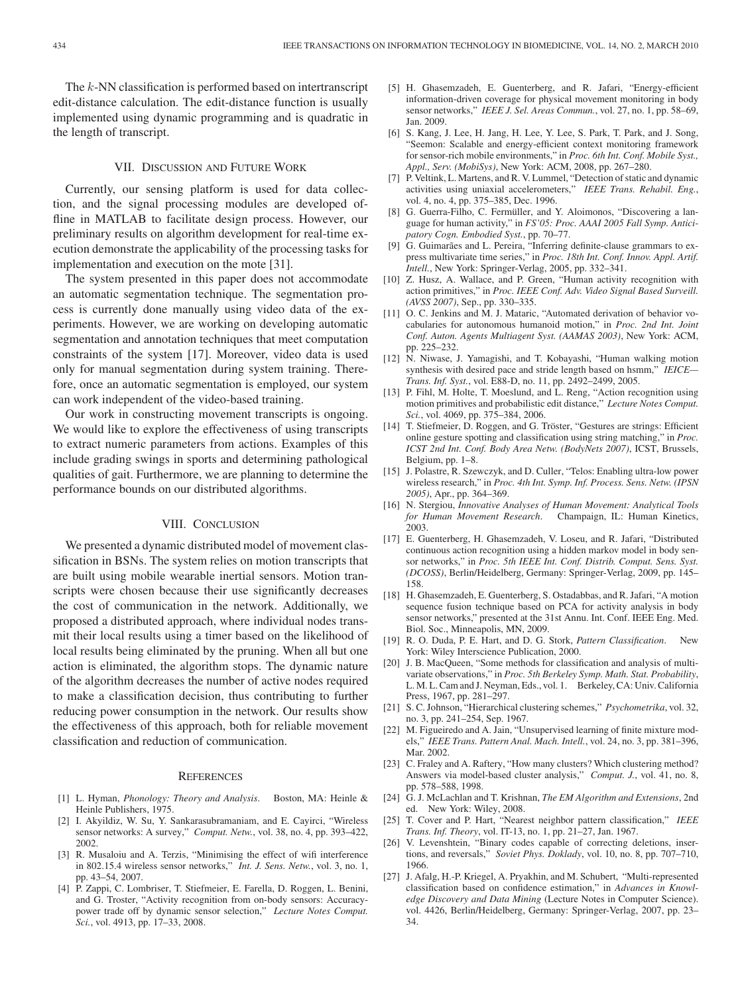The k-NN classification is performed based on intertranscript edit-distance calculation. The edit-distance function is usually implemented using dynamic programming and is quadratic in the length of transcript.

# VII. DISCUSSION AND FUTURE WORK

Currently, our sensing platform is used for data collection, and the signal processing modules are developed offline in MATLAB to facilitate design process. However, our preliminary results on algorithm development for real-time execution demonstrate the applicability of the processing tasks for implementation and execution on the mote [31].

The system presented in this paper does not accommodate an automatic segmentation technique. The segmentation process is currently done manually using video data of the experiments. However, we are working on developing automatic segmentation and annotation techniques that meet computation constraints of the system [17]. Moreover, video data is used only for manual segmentation during system training. Therefore, once an automatic segmentation is employed, our system can work independent of the video-based training.

Our work in constructing movement transcripts is ongoing. We would like to explore the effectiveness of using transcripts to extract numeric parameters from actions. Examples of this include grading swings in sports and determining pathological qualities of gait. Furthermore, we are planning to determine the performance bounds on our distributed algorithms.

## VIII. CONCLUSION

We presented a dynamic distributed model of movement classification in BSNs. The system relies on motion transcripts that are built using mobile wearable inertial sensors. Motion transcripts were chosen because their use significantly decreases the cost of communication in the network. Additionally, we proposed a distributed approach, where individual nodes transmit their local results using a timer based on the likelihood of local results being eliminated by the pruning. When all but one action is eliminated, the algorithm stops. The dynamic nature of the algorithm decreases the number of active nodes required to make a classification decision, thus contributing to further reducing power consumption in the network. Our results show the effectiveness of this approach, both for reliable movement classification and reduction of communication.

#### **REFERENCES**

- [1] L. Hyman, *Phonology: Theory and Analysis*. Boston, MA: Heinle & Heinle Publishers, 1975.
- [2] I. Akyildiz, W. Su, Y. Sankarasubramaniam, and E. Cayirci, "Wireless sensor networks: A survey," *Comput. Netw.*, vol. 38, no. 4, pp. 393–422, 2002.
- [3] R. Musaloiu and A. Terzis, "Minimising the effect of wifi interference in 802.15.4 wireless sensor networks," *Int. J. Sens. Netw.*, vol. 3, no. 1, pp. 43–54, 2007.
- [4] P. Zappi, C. Lombriser, T. Stiefmeier, E. Farella, D. Roggen, L. Benini, and G. Troster, "Activity recognition from on-body sensors: Accuracypower trade off by dynamic sensor selection," *Lecture Notes Comput. Sci.*, vol. 4913, pp. 17–33, 2008.
- [5] H. Ghasemzadeh, E. Guenterberg, and R. Jafari, "Energy-efficient information-driven coverage for physical movement monitoring in body sensor networks," *IEEE J. Sel. Areas Commun.*, vol. 27, no. 1, pp. 58–69, Jan. 2009.
- [6] S. Kang, J. Lee, H. Jang, H. Lee, Y. Lee, S. Park, T. Park, and J. Song, "Seemon: Scalable and energy-efficient context monitoring framework for sensor-rich mobile environments," in *Proc. 6th Int. Conf. Mobile Syst., Appl., Serv. (MobiSys)*, New York: ACM, 2008, pp. 267–280.
- [7] P. Veltink, L. Martens, and R. V. Lummel, "Detection of static and dynamic activities using uniaxial accelerometers," *IEEE Trans. Rehabil. Eng.*, vol. 4, no. 4, pp. 375–385, Dec. 1996.
- [8] G. Guerra-Filho, C. Fermüller, and Y. Aloimonos, "Discovering a language for human activity," in *FS'05: Proc. AAAI 2005 Fall Symp. Anticipatory Cogn. Embodied Syst.*, pp. 70–77.
- [9] G. Guimarães and L. Pereira, "Inferring definite-clause grammars to express multivariate time series," in *Proc. 18th Int. Conf. Innov. Appl. Artif. Intell.*, New York: Springer-Verlag, 2005, pp. 332–341.
- [10] Z. Husz, A. Wallace, and P. Green, "Human activity recognition with action primitives," in *Proc. IEEE Conf. Adv. Video Signal Based Surveill. (AVSS 2007)*, Sep., pp. 330–335.
- [11] O. C. Jenkins and M. J. Mataric, "Automated derivation of behavior vocabularies for autonomous humanoid motion," in *Proc. 2nd Int. Joint Conf. Auton. Agents Multiagent Syst. (AAMAS 2003)*, New York: ACM, pp. 225–232.
- [12] N. Niwase, J. Yamagishi, and T. Kobayashi, "Human walking motion synthesis with desired pace and stride length based on hsmm," *IEICE— Trans. Inf. Syst.*, vol. E88-D, no. 11, pp. 2492–2499, 2005.
- [13] P. Fihl, M. Holte, T. Moeslund, and L. Reng, "Action recognition using motion primitives and probabilistic edit distance," *Lecture Notes Comput. Sci.*, vol. 4069, pp. 375–384, 2006.
- [14] T. Stiefmeier, D. Roggen, and G. Tröster, "Gestures are strings: Efficient online gesture spotting and classification using string matching," in *Proc. ICST 2nd Int. Conf. Body Area Netw. (BodyNets 2007)*, ICST, Brussels, Belgium, pp. 1–8.
- [15] J. Polastre, R. Szewczyk, and D. Culler, "Telos: Enabling ultra-low power wireless research," in *Proc. 4th Int. Symp. Inf. Process. Sens. Netw. (IPSN 2005)*, Apr., pp. 364–369.
- [16] N. Stergiou, *Innovative Analyses of Human Movement: Analytical Tools for Human Movement Research*. Champaign, IL: Human Kinetics, 2003.
- [17] E. Guenterberg, H. Ghasemzadeh, V. Loseu, and R. Jafari, "Distributed continuous action recognition using a hidden markov model in body sensor networks," in *Proc. 5th IEEE Int. Conf. Distrib. Comput. Sens. Syst. (DCOSS)*, Berlin/Heidelberg, Germany: Springer-Verlag, 2009, pp. 145– 158.
- [18] H. Ghasemzadeh, E. Guenterberg, S. Ostadabbas, and R. Jafari, "A motion sequence fusion technique based on PCA for activity analysis in body sensor networks," presented at the 31st Annu. Int. Conf. IEEE Eng. Med. Biol. Soc., Minneapolis, MN, 2009.
- [19] R. O. Duda, P. E. Hart, and D. G. Stork, *Pattern Classification*. New York: Wiley Interscience Publication, 2000.
- [20] J. B. MacQueen, "Some methods for classification and analysis of multivariate observations," in *Proc. 5th Berkeley Symp. Math. Stat. Probability*, L. M. L. Cam and J. Neyman, Eds., vol. 1. Berkeley, CA: Univ. California Press, 1967, pp. 281–297.
- [21] S. C. Johnson, "Hierarchical clustering schemes," *Psychometrika*, vol. 32, no. 3, pp. 241–254, Sep. 1967.
- [22] M. Figueiredo and A. Jain, "Unsupervised learning of finite mixture models," *IEEE Trans. Pattern Anal. Mach. Intell.*, vol. 24, no. 3, pp. 381–396, Mar. 2002.
- [23] C. Fraley and A. Raftery, "How many clusters? Which clustering method? Answers via model-based cluster analysis," *Comput. J.*, vol. 41, no. 8, pp. 578–588, 1998.
- [24] G. J. McLachlan and T. Krishnan, *The EM Algorithm and Extensions*, 2nd ed. New York: Wiley, 2008.
- [25] T. Cover and P. Hart, "Nearest neighbor pattern classification," *IEEE Trans. Inf. Theory*, vol. IT-13, no. 1, pp. 21–27, Jan. 1967.
- [26] V. Levenshtein, "Binary codes capable of correcting deletions, insertions, and reversals," *Soviet Phys. Doklady*, vol. 10, no. 8, pp. 707–710, 1966.
- [27] J. Afalg, H.-P. Kriegel, A. Pryakhin, and M. Schubert, "Multi-represented classification based on confidence estimation," in *Advances in Knowledge Discovery and Data Mining* (Lecture Notes in Computer Science). vol. 4426, Berlin/Heidelberg, Germany: Springer-Verlag, 2007, pp. 23– 34.